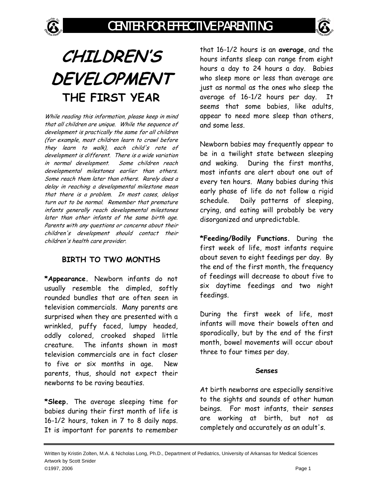



# **CHILDREN'S DEVELOPMENT THE FIRST YEAR**

While reading this information, please keep in mind that all children are unique. While the sequence of development is practically the same for all children (for example, most children learn to crawl before they learn to walk), each child's rate of development is different. There is a wide variation in normal development. Some children reach developmental milestones earlier than others. Some reach them later than others. Rarely does a delay in reaching a developmental milestone mean that there is a problem. In most cases, delays turn out to be normal. Remember that premature infants generally reach developmental milestones later than other infants of the same birth age. Parents with any questions or concerns about their children's development should contact their children's health care provider.

#### **BIRTH TO TWO MONTHS**

**\*Appearance.** Newborn infants do not usually resemble the dimpled, softly rounded bundles that are often seen in television commercials. Many parents are surprised when they are presented with a wrinkled, puffy faced, lumpy headed, oddly colored, crooked shaped little creature. The infants shown in most television commercials are in fact closer to five or six months in age. New parents, thus, should not expect their newborns to be raving beauties.

**\*Sleep.** The average sleeping time for babies during their first month of life is 16-1/2 hours, taken in 7 to 8 daily naps. It is important for parents to remember that 16-1/2 hours is an **average**, and the hours infants sleep can range from eight hours a day to 24 hours a day. Babies who sleep more or less than average are just as normal as the ones who sleep the average of 16-1/2 hours per day. It seems that some babies, like adults, appear to need more sleep than others, and some less.

Newborn babies may frequently appear to be in a twilight state between sleeping and waking. During the first months, most infants are alert about one out of every ten hours. Many babies during this early phase of life do not follow a rigid schedule. Daily patterns of sleeping, crying, and eating will probably be very disorganized and unpredictable.

**\*Feeding/Bodily Functions.** During the first week of life, most infants require about seven to eight feedings per day. By the end of the first month, the frequency of feedings will decrease to about five to six daytime feedings and two night feedings.

During the first week of life, most infants will move their bowels often and sporadically, but by the end of the first month, bowel movements will occur about three to four times per day.

#### **Senses**

At birth newborns are especially sensitive to the sights and sounds of other human beings. For most infants, their senses are working at birth, but not as completely and accurately as an adult's.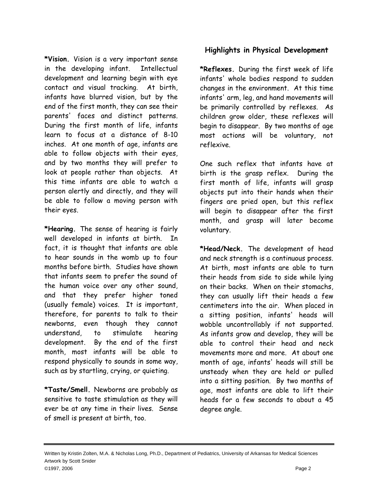**\*Vision.** Vision is a very important sense in the developing infant. Intellectual development and learning begin with eye contact and visual tracking. At birth, infants have blurred vision, but by the end of the first month, they can see their parents' faces and distinct patterns. During the first month of life, infants learn to focus at a distance of 8-10 inches. At one month of age, infants are able to follow objects with their eyes, and by two months they will prefer to look at people rather than objects. At this time infants are able to watch a person alertly and directly, and they will be able to follow a moving person with their eyes.

**\*Hearing.** The sense of hearing is fairly well developed in infants at birth. In fact, it is thought that infants are able to hear sounds in the womb up to four months before birth. Studies have shown that infants seem to prefer the sound of the human voice over any other sound, and that they prefer higher toned (usually female) voices. It is important, therefore, for parents to talk to their newborns, even though they cannot understand, to stimulate hearing development. By the end of the first month, most infants will be able to respond physically to sounds in some way, such as by startling, crying, or quieting.

**\*Taste/Smell.** Newborns are probably as sensitive to taste stimulation as they will ever be at any time in their lives. Sense of smell is present at birth, too.

#### **Highlights in Physical Development**

**\*Reflexes.** During the first week of life infants' whole bodies respond to sudden changes in the environment. At this time infants' arm, leg, and hand movements will be primarily controlled by reflexes. As children grow older, these reflexes will begin to disappear. By two months of age most actions will be voluntary, not reflexive.

One such reflex that infants have at birth is the grasp reflex. During the first month of life, infants will grasp objects put into their hands when their fingers are pried open, but this reflex will begin to disappear after the first month, and grasp will later become voluntary.

**\*Head/Neck.** The development of head and neck strength is a continuous process. At birth, most infants are able to turn their heads from side to side while lying on their backs. When on their stomachs, they can usually lift their heads a few centimeters into the air. When placed in a sitting position, infants' heads will wobble uncontrollably if not supported. As infants grow and develop, they will be able to control their head and neck movements more and more. At about one month of age, infants' heads will still be unsteady when they are held or pulled into a sitting position. By two months of age, most infants are able to lift their heads for a few seconds to about a 45 degree angle.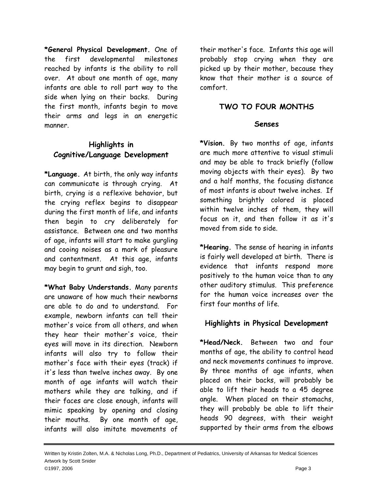**\*General Physical Development.** One of the first developmental milestones reached by infants is the ability to roll over. At about one month of age, many infants are able to roll part way to the side when lying on their backs. During the first month, infants begin to move their arms and legs in an energetic manner.

#### **Highlights in Cognitive/Language Development**

**\*Language.** At birth, the only way infants can communicate is through crying. At birth, crying is a reflexive behavior, but the crying reflex begins to disappear during the first month of life, and infants then begin to cry deliberately for assistance. Between one and two months of age, infants will start to make gurgling and cooing noises as a mark of pleasure and contentment. At this age, infants may begin to grunt and sigh, too.

**\*What Baby Understands.** Many parents are unaware of how much their newborns are able to do and to understand. For example, newborn infants can tell their mother's voice from all others, and when they hear their mother's voice, their eyes will move in its direction. Newborn infants will also try to follow their mother's face with their eyes (track) if it's less than twelve inches away. By one month of age infants will watch their mothers while they are talking, and if their faces are close enough, infants will mimic speaking by opening and closing their mouths. By one month of age, infants will also imitate movements of

their mother's face. Infants this age will probably stop crying when they are picked up by their mother, because they know that their mother is a source of comfort.

#### **TWO TO FOUR MONTHS**

#### **Senses**

**\*Vision.** By two months of age, infants are much more attentive to visual stimuli and may be able to track briefly (follow moving objects with their eyes). By two and a half months, the focusing distance of most infants is about twelve inches. If something brightly colored is placed within twelve inches of them, they will focus on it, and then follow it as it's moved from side to side.

**\*Hearing.** The sense of hearing in infants is fairly well developed at birth. There is evidence that infants respond more positively to the human voice than to any other auditory stimulus. This preference for the human voice increases over the first four months of life.

#### **Highlights in Physical Development**

**\*Head/Neck.** Between two and four months of age, the ability to control head and neck movements continues to improve. By three months of age infants, when placed on their backs, will probably be able to lift their heads to a 45 degree angle. When placed on their stomachs, they will probably be able to lift their heads 90 degrees, with their weight supported by their arms from the elbows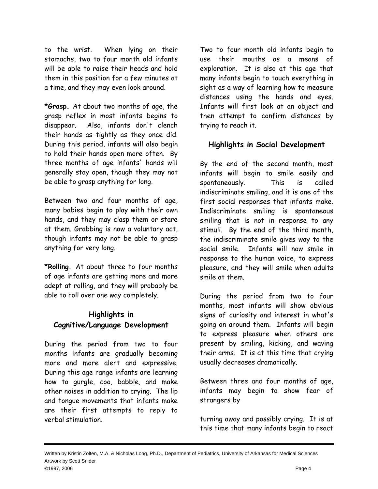to the wrist. When lying on their stomachs, two to four month old infants will be able to raise their heads and hold them in this position for a few minutes at a time, and they may even look around.

**\*Grasp.** At about two months of age, the grasp reflex in most infants begins to disappear. Also, infants don't clench their hands as tightly as they once did. During this period, infants will also begin to hold their hands open more often. By three months of age infants' hands will generally stay open, though they may not be able to grasp anything for long.

Between two and four months of age, many babies begin to play with their own hands, and they may clasp them or stare at them. Grabbing is now a voluntary act, though infants may not be able to grasp anything for very long.

**\*Rolling.** At about three to four months of age infants are getting more and more adept at rolling, and they will probably be able to roll over one way completely.

# **Highlights in Cognitive/Language Development**

During the period from two to four months infants are gradually becoming more and more alert and expressive. During this age range infants are learning how to gurgle, coo, babble, and make other noises in addition to crying. The lip and tongue movements that infants make are their first attempts to reply to verbal stimulation.

Two to four month old infants begin to use their mouths as a means of exploration. It is also at this age that many infants begin to touch everything in sight as a way of learning how to measure distances using the hands and eyes. Infants will first look at an object and then attempt to confirm distances by trying to reach it.

#### **Highlights in Social Development**

By the end of the second month, most infants will begin to smile easily and spontaneously. This is called indiscriminate smiling, and it is one of the first social responses that infants make. Indiscriminate smiling is spontaneous smiling that is not in response to any stimuli. By the end of the third month, the indiscriminate smile gives way to the social smile. Infants will now smile in response to the human voice, to express pleasure, and they will smile when adults smile at them.

During the period from two to four months, most infants will show obvious signs of curiosity and interest in what's going on around them. Infants will begin to express pleasure when others are present by smiling, kicking, and waving their arms. It is at this time that crying usually decreases dramatically.

Between three and four months of age, infants may begin to show fear of strangers by

turning away and possibly crying. It is at this time that many infants begin to react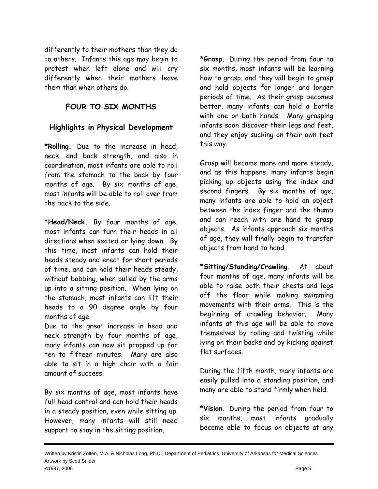differently to their mothers than they do to others. Infants this age may begin to protest when left alone and will cry differently when their mothers leave them than when others do.

# **FOUR TO SIX MONTHS**

# **Highlights in Physical Development**

**\*Rolling.** Due to the increase in head, neck, and back strength, and also in coordination, most infants are able to roll from the stomach to the back by four months of age. By six months of age, most infants will be able to roll over from the back to the side.

**\*Head/Neck.** By four months of age, most infants can turn their heads in all directions when seated or lying down. By this time, most infants can hold their heads steady and erect for short periods of time, and can hold their heads steady, without bobbing, when pulled by the arms up into a sitting position. When lying on the stomach, most infants can lift their heads to a 90 degree angle by four months of age.

Due to the great increase in head and neck strength by four months of age, many infants can now sit propped up for ten to fifteen minutes. Many are also able to sit in a high chair with a fair amount of success.

By six months of age, most infants have full head control and can hold their heads in a steady position, even while sitting up. However, many infants will still need support to stay in the sitting position.

**\*Grasp.** During the period from four to six months, most infants will be learning how to grasp, and they will begin to grasp and hold objects for longer and longer periods of time. As their grasp becomes better, many infants can hold a bottle with one or both hands. Many grasping infants soon discover their legs and feet, and they enjoy sucking on their own feet this way.

Grasp will become more and more steady, and as this happens, many infants begin picking up objects using the index and second fingers. By six months of age, many infants are able to hold an object between the index finger and the thumb and can reach with one hand to grasp objects. As infants approach six months of age, they will finally begin to transfer objects from hand to hand.

**\*Sitting/Standing/Crawling.** At about four months of age, many infants will be able to raise both their chests and legs off the floor while making swimming movements with their arms. This is the beginning of crawling behavior. Many infants at this age will be able to move themselves by rolling and twisting while lying on their backs and by kicking against flat surfaces.

During the fifth month, many infants are easily pulled into a standing position, and many are able to stand firmly when held.

**\*Vision.** During the period from four to six months, most infants gradually become able to focus on objects at any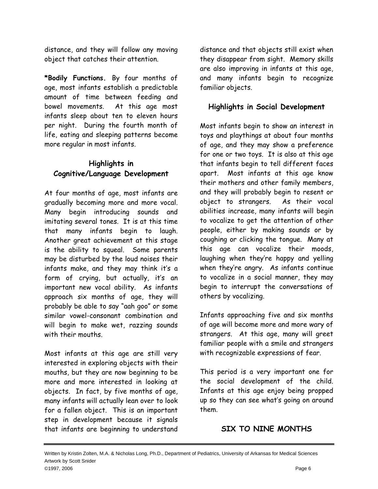distance, and they will follow any moving object that catches their attention.

**\*Bodily Functions.** By four months of age, most infants establish a predictable amount of time between feeding and bowel movements. At this age most infants sleep about ten to eleven hours per night. During the fourth month of life, eating and sleeping patterns become more regular in most infants.

# **Highlights in Cognitive/Language Development**

At four months of age, most infants are gradually becoming more and more vocal. Many begin introducing sounds and imitating several tones. It is at this time that many infants begin to laugh. Another great achievement at this stage is the ability to squeal. Some parents may be disturbed by the loud noises their infants make, and they may think it's a form of crying, but actually, it's an important new vocal ability. As infants approach six months of age, they will probably be able to say "aah goo" or some similar vowel-consonant combination and will begin to make wet, razzing sounds with their mouths.

Most infants at this age are still very interested in exploring objects with their mouths, but they are now beginning to be more and more interested in looking at objects. In fact, by five months of age, many infants will actually lean over to look for a fallen object. This is an important step in development because it signals that infants are beginning to understand

distance and that objects still exist when they disappear from sight. Memory skills are also improving in infants at this age, and many infants begin to recognize familiar objects.

# **Highlights in Social Development**

Most infants begin to show an interest in toys and playthings at about four months of age, and they may show a preference for one or two toys. It is also at this age that infants begin to tell different faces apart. Most infants at this age know their mothers and other family members, and they will probably begin to resent or object to strangers. As their vocal abilities increase, many infants will begin to vocalize to get the attention of other people, either by making sounds or by coughing or clicking the tongue. Many at this age can vocalize their moods, laughing when they're happy and yelling when they're angry. As infants continue to vocalize in a social manner, they may begin to interrupt the conversations of others by vocalizing.

Infants approaching five and six months of age will become more and more wary of strangers. At this age, many will greet familiar people with a smile and strangers with recognizable expressions of fear.

This period is a very important one for the social development of the child. Infants at this age enjoy being propped up so they can see what's going on around them.

#### **SIX TO NINE MONTHS**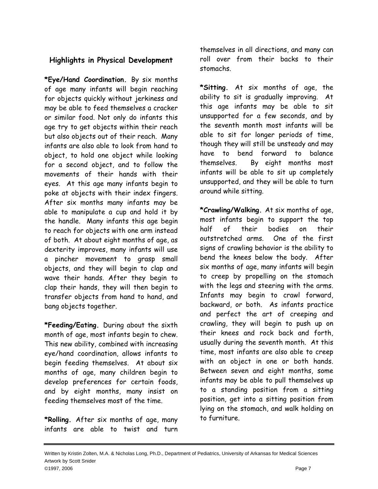#### **Highlights in Physical Development**

**\*Eye/Hand Coordination.** By six months of age many infants will begin reaching for objects quickly without jerkiness and may be able to feed themselves a cracker or similar food. Not only do infants this age try to get objects within their reach but also objects out of their reach. Many infants are also able to look from hand to object, to hold one object while looking for a second object, and to follow the movements of their hands with their eyes. At this age many infants begin to poke at objects with their index fingers. After six months many infants may be able to manipulate a cup and hold it by the handle. Many infants this age begin to reach for objects with one arm instead of both. At about eight months of age, as dexterity improves, many infants will use a pincher movement to grasp small objects, and they will begin to clap and wave their hands. After they begin to clap their hands, they will then begin to transfer objects from hand to hand, and bang objects together.

**\*Feeding/Eating.** During about the sixth month of age, most infants begin to chew. This new ability, combined with increasing eye/hand coordination, allows infants to begin feeding themselves. At about six months of age, many children begin to develop preferences for certain foods, and by eight months, many insist on feeding themselves most of the time.

**\*Rolling.** After six months of age, many infants are able to twist and turn

themselves in all directions, and many can roll over from their backs to their stomachs.

**\*Sitting.** At six months of age, the ability to sit is gradually improving. At this age infants may be able to sit unsupported for a few seconds, and by the seventh month most infants will be able to sit for longer periods of time, though they will still be unsteady and may have to bend forward to balance themselves. By eight months most infants will be able to sit up completely unsupported, and they will be able to turn around while sitting.

**\*Crawling/Walking.** At six months of age, most infants begin to support the top half of their bodies on their outstretched arms. One of the first signs of crawling behavior is the ability to bend the knees below the body. After six months of age, many infants will begin to creep by propelling on the stomach with the legs and steering with the arms. Infants may begin to crawl forward, backward, or both. As infants practice and perfect the art of creeping and crawling, they will begin to push up on their knees and rock back and forth, usually during the seventh month. At this time, most infants are also able to creep with an object in one or both hands. Between seven and eight months, some infants may be able to pull themselves up to a standing position from a sitting position, get into a sitting position from lying on the stomach, and walk holding on to furniture.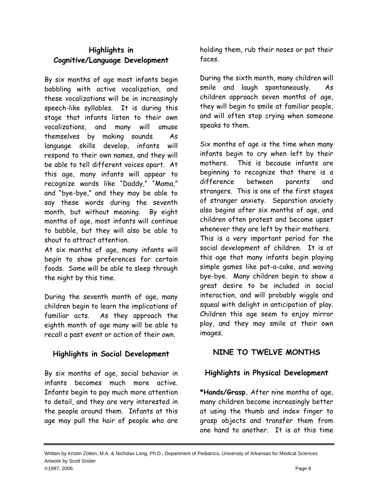# **Highlights in Cognitive/Language Development**

By six months of age most infants begin babbling with active vocalization, and these vocalizations will be in increasingly speech-like syllables. It is during this stage that infants listen to their own vocalizations, and many will amuse themselves by making sounds. As language skills develop, infants will respond to their own names, and they will be able to tell different voices apart. At this age, many infants will appear to recognize words like "Daddy," "Mama," and "bye-bye," and they may be able to say these words during the seventh month, but without meaning. By eight months of age, most infants will continue to babble, but they will also be able to shout to attract attention.

At six months of age, many infants will begin to show preferences for certain foods. Some will be able to sleep through the night by this time.

During the seventh month of age, many children begin to learn the implications of familiar acts. As they approach the eighth month of age many will be able to recall a past event or action of their own.

#### **Highlights in Social Development**

By six months of age, social behavior in infants becomes much more active. Infants begin to pay much more attention to detail, and they are very interested in the people around them. Infants at this age may pull the hair of people who are

holding them, rub their noses or pat their faces.

During the sixth month, many children will smile and laugh spontaneously. As children approach seven months of age, they will begin to smile at familiar people, and will often stop crying when someone speaks to them.

Six months of age is the time when many infants begin to cry when left by their mothers. This is because infants are beginning to recognize that there is a difference between parents and strangers. This is one of the first stages of stranger anxiety. Separation anxiety also begins after six months of age, and children often protest and become upset whenever they are left by their mothers. This is a very important period for the

social development of children. It is at this age that many infants begin playing simple games like pat-a-cake, and waving bye-bye. Many children begin to show a great desire to be included in social interaction, and will probably wiggle and squeal with delight in anticipation of play. Children this age seem to enjoy mirror play, and they may smile at their own images.

# **NINE TO TWELVE MONTHS**

# **Highlights in Physical Development**

**\*Hands/Grasp.** After nine months of age, many children become increasingly better at using the thumb and index finger to grasp objects and transfer them from one hand to another. It is at this time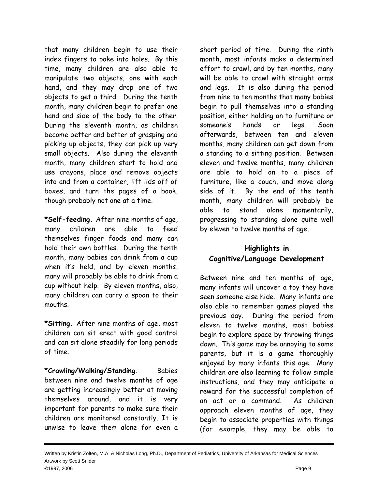that many children begin to use their index fingers to poke into holes. By this time, many children are also able to manipulate two objects, one with each hand, and they may drop one of two objects to get a third. During the tenth month, many children begin to prefer one hand and side of the body to the other. During the eleventh month, as children become better and better at grasping and picking up objects, they can pick up very small objects. Also during the eleventh month, many children start to hold and use crayons, place and remove objects into and from a container, lift lids off of boxes, and turn the pages of a book, though probably not one at a time.

**\*Self-feeding.** After nine months of age, many children are able to feed themselves finger foods and many can hold their own bottles. During the tenth month, many babies can drink from a cup when it's held, and by eleven months, many will probably be able to drink from a cup without help. By eleven months, also, many children can carry a spoon to their mouths.

**\*Sitting.** After nine months of age, most children can sit erect with good control and can sit alone steadily for long periods of time.

**\*Crawling/Walking/Standing.** Babies between nine and twelve months of age are getting increasingly better at moving themselves around, and it is very important for parents to make sure their children are monitored constantly. It is unwise to leave them alone for even a

short period of time. During the ninth month, most infants make a determined effort to crawl, and by ten months, many will be able to crawl with straight arms and legs. It is also during the period from nine to ten months that many babies begin to pull themselves into a standing position, either holding on to furniture or someone's hands or legs. Soon afterwards, between ten and eleven months, many children can get down from a standing to a sitting position. Between eleven and twelve months, many children are able to hold on to a piece of furniture, like a couch, and move along side of it. By the end of the tenth month, many children will probably be able to stand alone momentarily, progressing to standing alone quite well by eleven to twelve months of age.

# **Highlights in Cognitive/Language Development**

Between nine and ten months of age, many infants will uncover a toy they have seen someone else hide. Many infants are also able to remember games played the previous day. During the period from eleven to twelve months, most babies begin to explore space by throwing things down. This game may be annoying to some parents, but it is a game thoroughly enjoyed by many infants this age. Many children are also learning to follow simple instructions, and they may anticipate a reward for the successful completion of an act or a command. As children approach eleven months of age, they begin to associate properties with things (for example, they may be able to